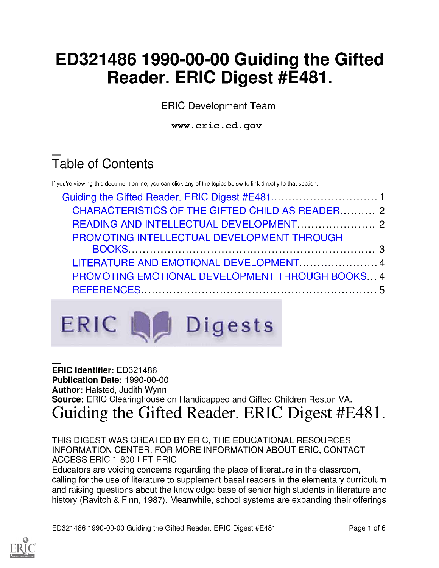# ED321486 1990-00-00 Guiding the Gifted Reader. ERIC Digest #E481.

ERIC Development Team

www.eric.ed.gov

# Table of Contents

If you're viewing this document online, you can click any of the topics below to link directly to that section.

| CHARACTERISTICS OF THE GIFTED CHILD AS READER 2        |  |
|--------------------------------------------------------|--|
|                                                        |  |
| PROMOTING INTELLECTUAL DEVELOPMENT THROUGH             |  |
|                                                        |  |
| LITERATURE AND EMOTIONAL DEVELOPMENT4                  |  |
| <b>PROMOTING EMOTIONAL DEVELOPMENT THROUGH BOOKS 4</b> |  |
|                                                        |  |
|                                                        |  |



#### ERIC Identifier: ED321486 Publication Date: 1990-00-00 Author: Halsted, Judith Wynn Source: ERIC Clearinghouse on Handicapped and Gifted Children Reston VA. Guiding the Gifted Reader. ERIC Digest #E481.

THIS DIGEST WAS CREATED BY ERIC, THE EDUCATIONAL RESOURCES INFORMATION CENTER. FOR MORE INFORMATION ABOUT ERIC, CONTACT ACCESS ERIC 1-800-LET-ERIC

Educators are voicing concerns regarding the place of literature in the classroom, calling for the use of literature to supplement basal readers in the elementary curriculum and raising questions about the knowledge base of senior high students in literature and history (Ravitch & Finn, 1987). Meanwhile, school systems are expanding their offerings

ED321486 1990-00-00 Guiding the Gifted Reader. ERIC Digest #E481. Page 1 of 6

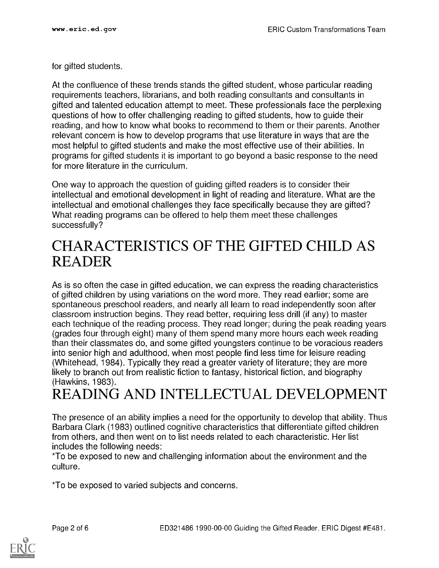for gifted students.

At the confluence of these trends stands the gifted student, whose particular reading requirements teachers, librarians, and both reading consultants and consultants in gifted and talented education attempt to meet. These professionals face the perplexing questions of how to offer challenging reading to gifted students, how to guide their reading, and how to know what books to recommend to them or their parents. Another relevant concern is how to develop programs that use literature in ways that are the most helpful to gifted students and make the most effective use of their abilities. In programs for gifted students it is important to go beyond a basic response to the need for more literature in the curriculum.

One way to approach the question of guiding gifted readers is to consider their intellectual and emotional development in light of reading and literature. What are the intellectual and emotional challenges they face specifically because they are gifted? What reading programs can be offered to help them meet these challenges successfully?

#### CHARACTERISTICS OF THE GIFTED CHILD AS READER

As is so often the case in gifted education, we can express the reading characteristics of gifted children by using variations on the word more. They read earlier; some are spontaneous preschool readers, and nearly all learn to read independently soon after classroom instruction begins. They read better, requiring less drill (if any) to master each technique of the reading process. They read longer; during the peak reading years (grades four through eight) many of them spend many more hours each week reading than their classmates do, and some gifted youngsters continue to be voracious readers into senior high and adulthood, when most people find less time for leisure reading (Whitehead, 1984). Typically they read a greater variety of literature; they are more likely to branch out from realistic fiction to fantasy, historical fiction, and biography (Hawkins, 1983).

## READING AND INTELLECTUAL DEVELOPMENT

The presence of an ability implies a need for the opportunity to develop that ability. Thus Barbara Clark (1983) outlined cognitive characteristics that differentiate gifted children from others, and then went on to list needs related to each characteristic. Her list includes the following needs:

\*To be exposed to new and challenging information about the environment and the culture.

\*To be exposed to varied subjects and concerns.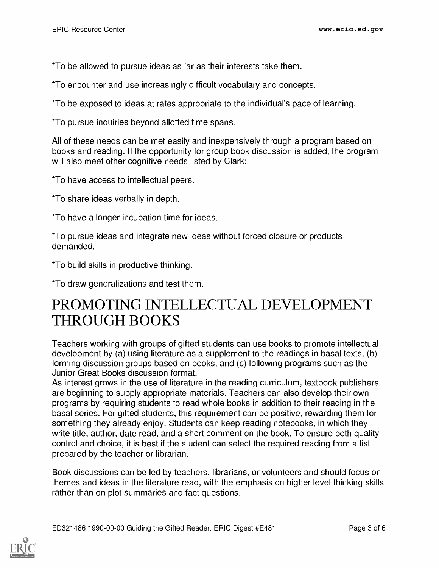\*To be allowed to pursue ideas as far as their interests take them.

\*To encounter and use increasingly difficult vocabulary and concepts.

\*To be exposed to ideas at rates appropriate to the individual's pace of learning.

\*To pursue inquiries beyond allotted time spans.

All of these needs can be met easily and inexpensively through a program based on books and reading. If the opportunity for group book discussion is added, the program will also meet other cognitive needs listed by Clark:

\*To have access to intellectual peers.

\*To share ideas verbally in depth.

\*To have a longer incubation time for ideas.

\*To pursue ideas and integrate new ideas without forced closure or products demanded.

\*To build skills in productive thinking.

\*To draw generalizations and test them.

### PROMOTING INTELLECTUAL DEVELOPMENT THROUGH BOOKS

Teachers working with groups of gifted students can use books to promote intellectual development by (a) using literature as a supplement to the readings in basal texts, (b) forming discussion groups based on books, and (c) following programs such as the Junior Great Books discussion format.

As interest grows in the use of literature in the reading curriculum, textbook publishers are beginning to supply appropriate materials. Teachers can also develop their own programs by requiring students to read whole books in addition to their reading in the basal series. For gifted students, this requirement can be positive, rewarding them for something they already enjoy. Students can keep reading notebooks, in which they write title, author, date read, and a short comment on the book. To ensure both quality control and choice, it is best if the student can select the required reading from a list prepared by the teacher or librarian.

Book discussions can be led by teachers, librarians, or volunteers and should focus on themes and ideas in the literature read, with the emphasis on higher level thinking skills rather than on plot summaries and fact questions.

ED321486 1990-00-00 Guiding the Gifted Reader. ERIC Digest #E481. Page 3 of 6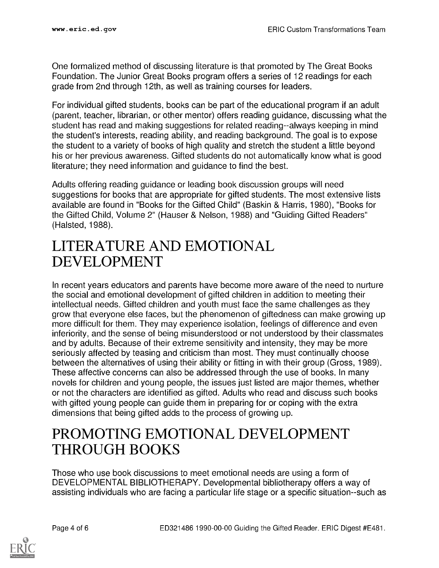One formalized method of discussing literature is that promoted by The Great Books Foundation. The Junior Great Books program offers a series of 12 readings for each grade from 2nd through 12th, as well as training courses for leaders.

For individual gifted students, books can be part of the educational program if an adult (parent, teacher, librarian, or other mentor) offers reading guidance, discussing what the student has read and making suggestions for related reading--always keeping in mind the student's interests, reading ability, and reading background. The goal is to expose the student to a variety of books of high quality and stretch the student a little beyond his or her previous awareness. Gifted students do not automatically know what is good literature; they need information and guidance to find the best.

Adults offering reading guidance or leading book discussion groups will need suggestions for books that are appropriate for gifted students. The most extensive lists available are found in "Books for the Gifted Child" (Baskin & Harris, 1980), "Books for the Gifted Child, Volume 2" (Hauser & Nelson, 1988) and "Guiding Gifted Readers" (Halsted, 1988).

#### LITERATURE AND EMOTIONAL DEVELOPMENT

In recent years educators and parents have become more aware of the need to nurture the social and emotional development of gifted children in addition to meeting their intellectual needs. Gifted children and youth must face the same challenges as they grow that everyone else faces, but the phenomenon of giftedness can make growing up more difficult for them. They may experience isolation, feelings of difference and even inferiority, and the sense of being misunderstood or not understood by their classmates and by adults. Because of their extreme sensitivity and intensity, they may be more seriously affected by teasing and criticism than most. They must continually choose between the alternatives of using their ability or fitting in with their group (Gross, 1989). These affective concerns can also be addressed through the use of books. In many novels for children and young people, the issues just listed are major themes, whether or not the characters are identified as gifted. Adults who read and discuss such books with gifted young people can guide them in preparing for or coping with the extra dimensions that being gifted adds to the process of growing up.

### PROMOTING EMOTIONAL DEVELOPMENT THROUGH BOOKS

Those who use book discussions to meet emotional needs are using a form of DEVELOPMENTAL BIBLIOTHERAPY. Developmental bibliotherapy offers a way of assisting individuals who are facing a particular life stage or a specific situation--such as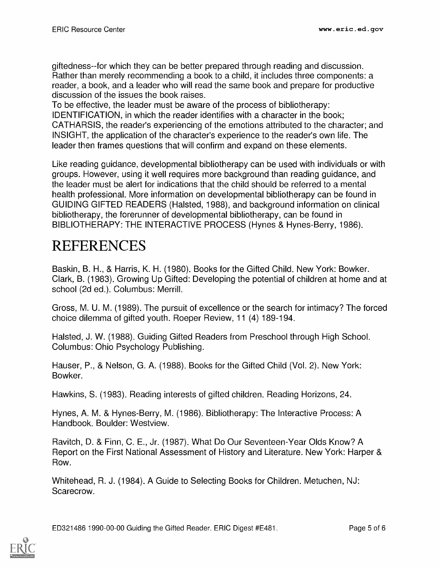giftedness--for which they can be better prepared through reading and discussion. Rather than merely recommending a book to a child, it includes three components: a reader, a book, and a leader who will read the same book and prepare for productive discussion of the issues the book raises.

To be effective, the leader must be aware of the process of bibliotherapy: IDENTIFICATION, in which the reader identifies with a character in the book; CATHARSIS, the reader's experiencing of the emotions attributed to the character; and INSIGHT, the application of the character's experience to the reader's own life. The leader then frames questions that will confirm and expand on these elements.

Like reading guidance, developmental bibliotherapy can be used with individuals or with groups. However, using it well requires more background than reading guidance, and the leader must be alert for indications that the child should be referred to a mental health professional. More information on developmental bibliotherapy can be found in GUIDING GIFTED READERS (Halsted, 1988), and background information on clinical bibliotherapy, the forerunner of developmental bibliotherapy, can be found in BIBLIOTHERAPY: THE INTERACTIVE PROCESS (Hynes & Hynes-Berry, 1986).

## REFERENCES

Baskin, B. H., & Harris, K. H. (1980). Books for the Gifted Child. New York: Bowker. Clark, B. (1983). Growing Up Gifted: Developing the potential of children at home and at school (2d ed.). Columbus: Merrill.

Gross, M. U. M. (1989). The pursuit of excellence or the search for intimacy? The forced choice dilemma of gifted youth. Roeper Review, 11 (4) 189-194.

Halsted, J. W. (1988). Guiding Gifted Readers from Preschool through High School. Columbus: Ohio Psychology Publishing.

Hauser, P., & Nelson, G. A. (1988). Books for the Gifted Child (Vol. 2). New York: Bowker.

Hawkins, S. (1983). Reading interests of gifted children. Reading Horizons, 24.

Hynes, A. M. & Hynes-Berry, M. (1986). Bibliotherapy: The Interactive Process: A Handbook. Boulder: Westview.

Ravitch, D. & Finn, C. E., Jr. (1987). What Do Our Seventeen-Year Olds Know? A Report on the First National Assessment of History and Literature. New York: Harper & Row.

Whitehead, R. J. (1984). A Guide to Selecting Books for Children. Metuchen, NJ: Scarecrow.